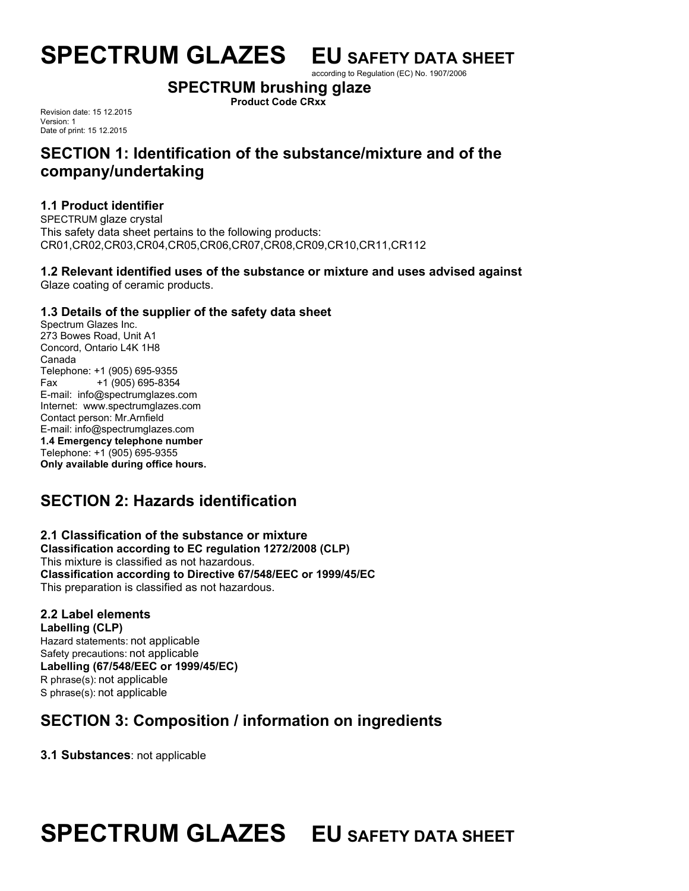# **SPECTRUM GLAZES EU SAFETY DATA SHEET**

according to Regulation (EC) No. 1907/2006

# **SPECTRUM brushing glaze**

**Product Code CRxx**

Revision date: 15 12.2015 Version: 1 Date of print: 15 12.2015

# **SECTION 1: Identification of the substance/mixture and of the company/undertaking**

# **1.1 Product identifier**

SPECTRUM glaze crystal This safety data sheet pertains to the following products: CR01,CR02,CR03,CR04,CR05,CR06,CR07,CR08,CR09,CR10,CR11,CR112

#### **1.2 Relevant identified uses of the substance or mixture and uses advised against** Glaze coating of ceramic products.

# **1.3 Details of the supplier of the safety data sheet**

Spectrum Glazes Inc. 273 Bowes Road, Unit A1 Concord, Ontario L4K 1H8 Canada Telephone: +1 (905) 695-9355 Fax +1 (905) 695-8354 E-mail: info@spectrumglazes.com Internet: www.spectrumglazes.com Contact person: Mr.Arnfield E-mail: info@spectrumglazes.com **1.4 Emergency telephone number** Telephone: +1 (905) 695-9355 **Only available during office hours.**

# **SECTION 2: Hazards identification**

#### **2.1 Classification of the substance or mixture Classification according to EC regulation 1272/2008 (CLP)** This mixture is classified as not hazardous. **Classification according to Directive 67/548/EEC or 1999/45/EC** This preparation is classified as not hazardous.

# **2.2 Label elements**

**Labelling (CLP)** Hazard statements: not applicable Safety precautions: not applicable **Labelling (67/548/EEC or 1999/45/EC)** R phrase(s): not applicable S phrase(s): not applicable

# **SECTION 3: Composition / information on ingredients**

**3.1 Substances**: not applicable

# **SPECTRUM GLAZES EU SAFETY DATA SHEET**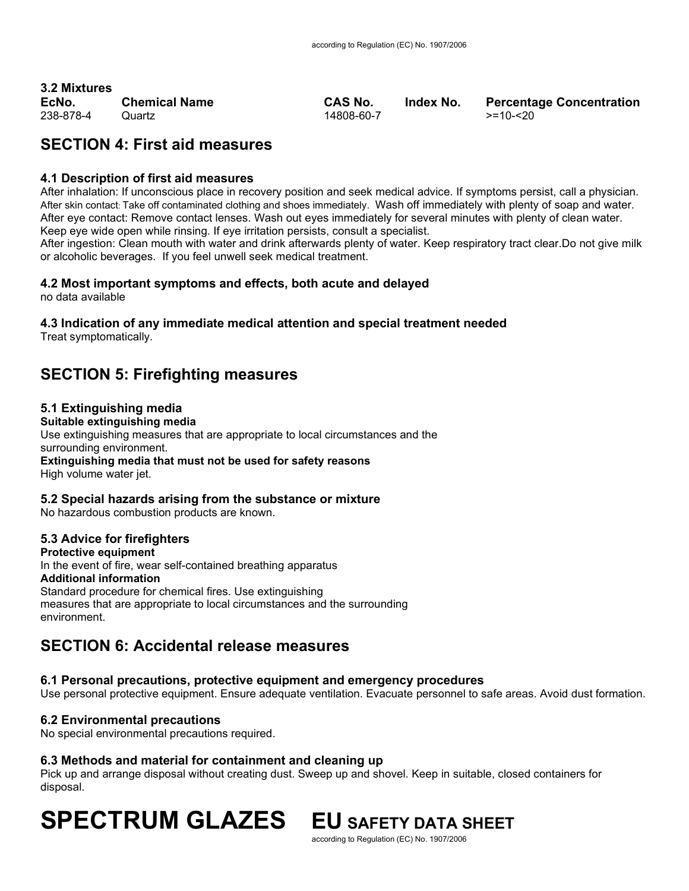# **3.2 Mixtures**

238-878-4 Quartz 14808-60-7 >=10-<20

**EcNo. Chemical Name CAS No. Index No. Percentage Concentration**

# **SECTION 4: First aid measures**

### **4.1 Description of first aid measures**

After inhalation: If unconscious place in recovery position and seek medical advice. If symptoms persist, call a physician. After skin contact: Take off contaminated clothing and shoes immediately. Wash off immediately with plenty of soap and water. After eye contact: Remove contact lenses. Wash out eyes immediately for several minutes with plenty of clean water. Keep eye wide open while rinsing. If eye irritation persists, consult a specialist.

After ingestion: Clean mouth with water and drink afterwards plenty of water. Keep respiratory tract clear.Do not give milk or alcoholic beverages. If you feel unwell seek medical treatment.

# **4.2 Most important symptoms and effects, both acute and delayed**

no data available

# **4.3 Indication of any immediate medical attention and special treatment needed**

Treat symptomatically.

# **SECTION 5: Firefighting measures**

# **5.1 Extinguishing media**

**Suitable extinguishing media**  Use extinguishing measures that are appropriate to local circumstances and the surrounding environment. **Extinguishing media that must not be used for safety reasons**  High volume water jet.

# **5.2 Special hazards arising from the substance or mixture**

No hazardous combustion products are known.

# **5.3 Advice for firefighters**

**Protective equipment**  In the event of fire, wear self-contained breathing apparatus **Additional information**  Standard procedure for chemical fires. Use extinguishing measures that are appropriate to local circumstances and the surrounding environment.

# **SECTION 6: Accidental release measures**

# **6.1 Personal precautions, protective equipment and emergency procedures**

Use personal protective equipment. Ensure adequate ventilation. Evacuate personnel to safe areas. Avoid dust formation.

# **6.2 Environmental precautions**

No special environmental precautions required.

### **6.3 Methods and material for containment and cleaning up**

Pick up and arrange disposal without creating dust. Sweep up and shovel. Keep in suitable, closed containers for disposal.

# **SPECTRUM GLAZES EU SAFETY DATA SHEET**

according to Regulation (EC) No. 1907/2006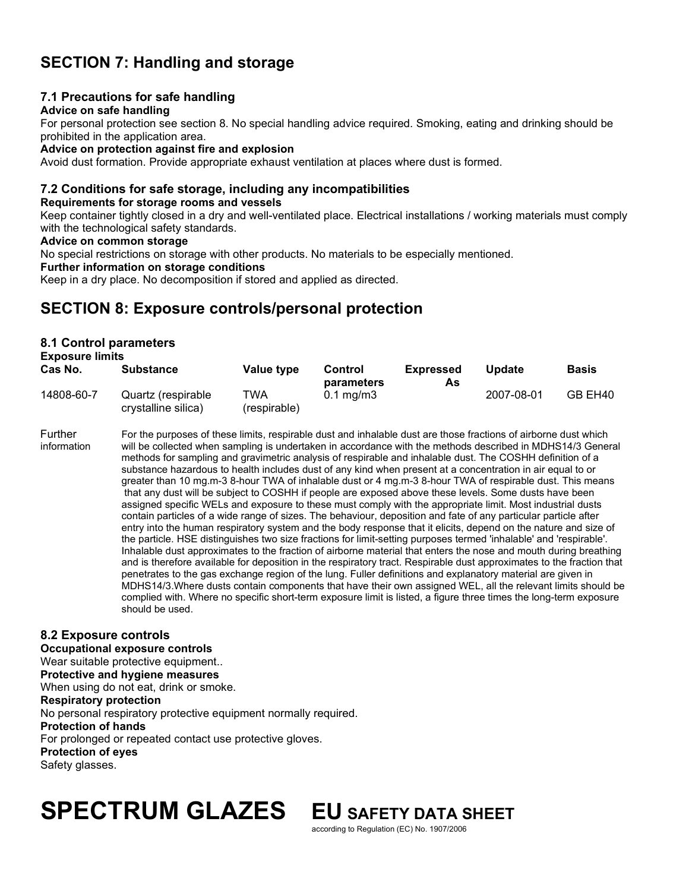# **SECTION 7: Handling and storage**

### **7.1 Precautions for safe handling**

#### **Advice on safe handling**

For personal protection see section 8. No special handling advice required. Smoking, eating and drinking should be prohibited in the application area.

#### **Advice on protection against fire and explosion**

Avoid dust formation. Provide appropriate exhaust ventilation at places where dust is formed.

# **7.2 Conditions for safe storage, including any incompatibilities**

#### **Requirements for storage rooms and vessels**

Keep container tightly closed in a dry and well-ventilated place. Electrical installations / working materials must comply with the technological safety standards.

#### **Advice on common storage**

No special restrictions on storage with other products. No materials to be especially mentioned.

#### **Further information on storage conditions**

Keep in a dry place. No decomposition if stored and applied as directed.

# **SECTION 8: Exposure controls/personal protection**

#### **8.1 Control parameters Exposure limits**

| <b>LANUSULE IIIIIIII</b><br>Cas No. | <b>Substance</b>                          | Value type          | Control<br>parameters | <b>Expressed</b><br>As | Update     | <b>Basis</b> |
|-------------------------------------|-------------------------------------------|---------------------|-----------------------|------------------------|------------|--------------|
| 14808-60-7                          | Quartz (respirable<br>crystalline silica) | TWA<br>(respirable) | $0.1 \text{ mg/m}$    |                        | 2007-08-01 | GB EH40      |

Further For the purposes of these limits, respirable dust and inhalable dust are those fractions of airborne dust which<br>Formation will be collected when sampling is undertaken in accordance with the methods described in MD will be collected when sampling is undertaken in accordance with the methods described in MDHS14/3 General methods for sampling and gravimetric analysis of respirable and inhalable dust. The COSHH definition of a substance hazardous to health includes dust of any kind when present at a concentration in air equal to or greater than 10 mg.m-3 8-hour TWA of inhalable dust or 4 mg.m-3 8-hour TWA of respirable dust. This means that any dust will be subject to COSHH if people are exposed above these levels. Some dusts have been assigned specific WELs and exposure to these must comply with the appropriate limit. Most industrial dusts contain particles of a wide range of sizes. The behaviour, deposition and fate of any particular particle after entry into the human respiratory system and the body response that it elicits, depend on the nature and size of the particle. HSE distinguishes two size fractions for limit-setting purposes termed 'inhalable' and 'respirable'. Inhalable dust approximates to the fraction of airborne material that enters the nose and mouth during breathing and is therefore available for deposition in the respiratory tract. Respirable dust approximates to the fraction that penetrates to the gas exchange region of the lung. Fuller definitions and explanatory material are given in MDHS14/3.Where dusts contain components that have their own assigned WEL, all the relevant limits should be complied with. Where no specific short-term exposure limit is listed, a figure three times the long-term exposure should be used.

# **8.2 Exposure controls**

#### **Occupational exposure controls**

Wear suitable protective equipment..

**Protective and hygiene measures** 

When using do not eat, drink or smoke.

#### **Respiratory protection**

No personal respiratory protective equipment normally required. **Protection of hands**  For prolonged or repeated contact use protective gloves. **Protection of eyes**  Safety glasses.

# **SPECTRUM GLAZES EU SAFETY DATA SHEET**

according to Regulation (EC) No. 1907/2006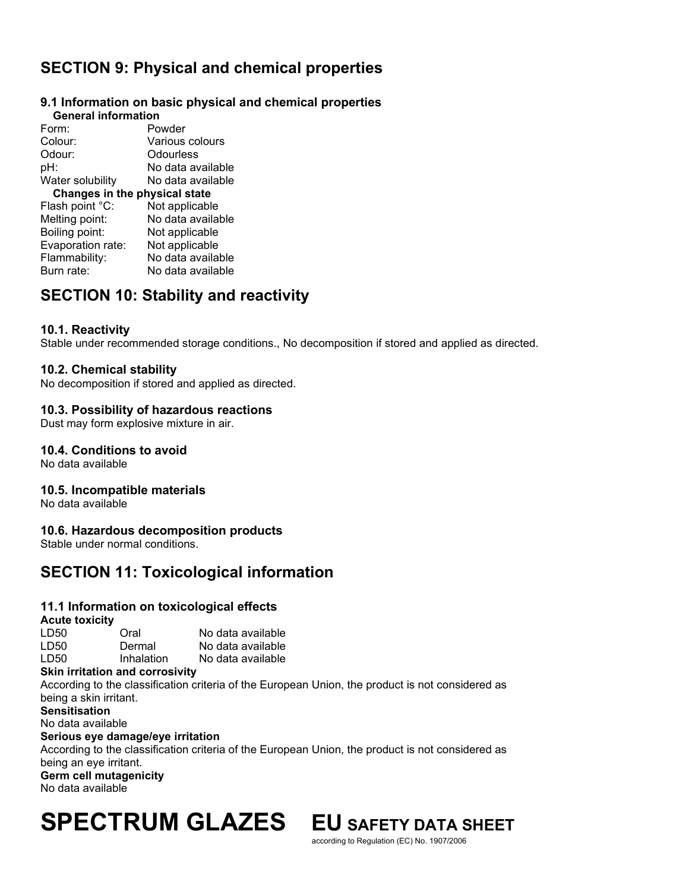# **SECTION 9: Physical and chemical properties**

#### **9.1 Information on basic physical and chemical properties General information**

| OCHCLAI IIIIUI IIIAU          |                   |  |  |  |  |
|-------------------------------|-------------------|--|--|--|--|
| Form:                         | Powder            |  |  |  |  |
| Colour:                       | Various colours   |  |  |  |  |
| Odour:                        | Odourless         |  |  |  |  |
| pH:                           | No data available |  |  |  |  |
| Water solubility              | No data available |  |  |  |  |
| Changes in the physical state |                   |  |  |  |  |
| Flash point °C:               | Not applicable    |  |  |  |  |
| Melting point:                | No data available |  |  |  |  |
| Boiling point:                | Not applicable    |  |  |  |  |
| Evaporation rate:             | Not applicable    |  |  |  |  |
| Flammability:                 | No data available |  |  |  |  |
| Burn rate:                    | No data available |  |  |  |  |
|                               |                   |  |  |  |  |

# **SECTION 10: Stability and reactivity**

### **10.1. Reactivity**

Stable under recommended storage conditions., No decomposition if stored and applied as directed.

### **10.2. Chemical stability**

No decomposition if stored and applied as directed.

### **10.3. Possibility of hazardous reactions**

Dust may form explosive mixture in air.

### **10.4. Conditions to avoid**

No data available

### **10.5. Incompatible materials**

No data available

### **10.6. Hazardous decomposition products**

Stable under normal conditions.

# **SECTION 11: Toxicological information**

### **11.1 Information on toxicological effects**

#### **Acute toxicity**

| LD50  | Oral       | No data available |
|-------|------------|-------------------|
| LD50. | Dermal     | No data available |
| LD50. | Inhalation | No data available |
|       |            |                   |

#### **Skin irritation and corrosivity**

According to the classification criteria of the European Union, the product is not considered as being a skin irritant. **Sensitisation**  No data available

#### **Serious eye damage/eye irritation**

According to the classification criteria of the European Union, the product is not considered as being an eye irritant. **Germ cell mutagenicity** 

No data available

# **SPECTRUM GLAZES EU SAFETY DATA SHEET**

according to Regulation (EC) No. 1907/2006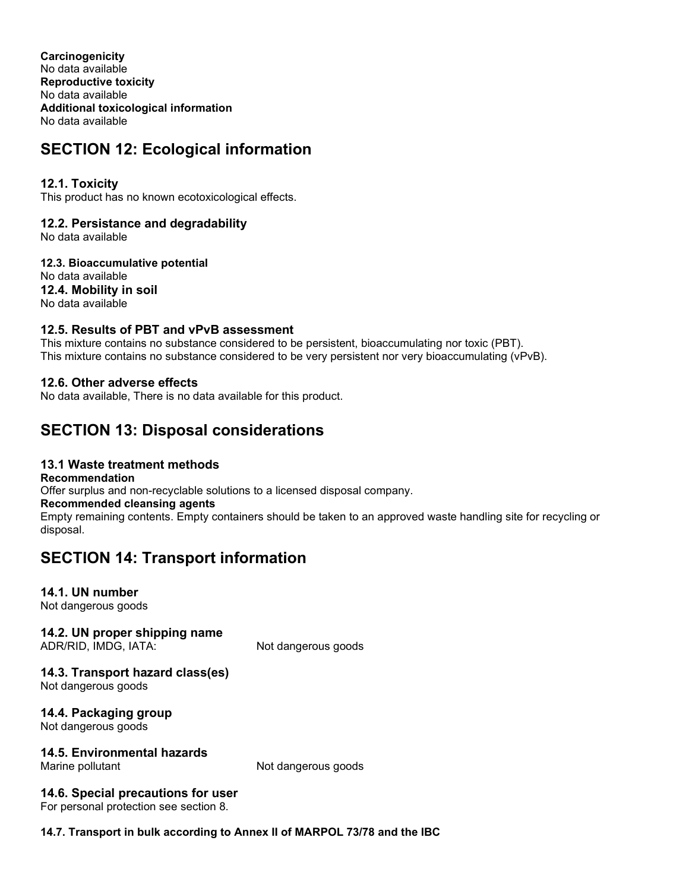**Carcinogenicity**  No data available **Reproductive toxicity**  No data available **Additional toxicological information**  No data available

# **SECTION 12: Ecological information**

# **12.1. Toxicity**

This product has no known ecotoxicological effects.

# **12.2. Persistance and degradability**

No data available

**12.3. Bioaccumulative potential**  No data available **12.4. Mobility in soil**  No data available

# **12.5. Results of PBT and vPvB assessment**

This mixture contains no substance considered to be persistent, bioaccumulating nor toxic (PBT). This mixture contains no substance considered to be very persistent nor very bioaccumulating (vPvB).

### **12.6. Other adverse effects**

No data available, There is no data available for this product.

# **SECTION 13: Disposal considerations**

# **13.1 Waste treatment methods**

**Recommendation** 

Offer surplus and non-recyclable solutions to a licensed disposal company.

#### **Recommended cleansing agents**

Empty remaining contents. Empty containers should be taken to an approved waste handling site for recycling or disposal.

# **SECTION 14: Transport information**

### **14.1. UN number**

Not dangerous goods

# **14.2. UN proper shipping name**

ADR/RID, IMDG, IATA: Not dangerous goods

### **14.3. Transport hazard class(es)**

Not dangerous goods

# **14.4. Packaging group**

Not dangerous goods

# **14.5. Environmental hazards**

Not dangerous goods

### **14.6. Special precautions for user**

For personal protection see section 8.

### **14.7. Transport in bulk according to Annex II of MARPOL 73/78 and the IBC**